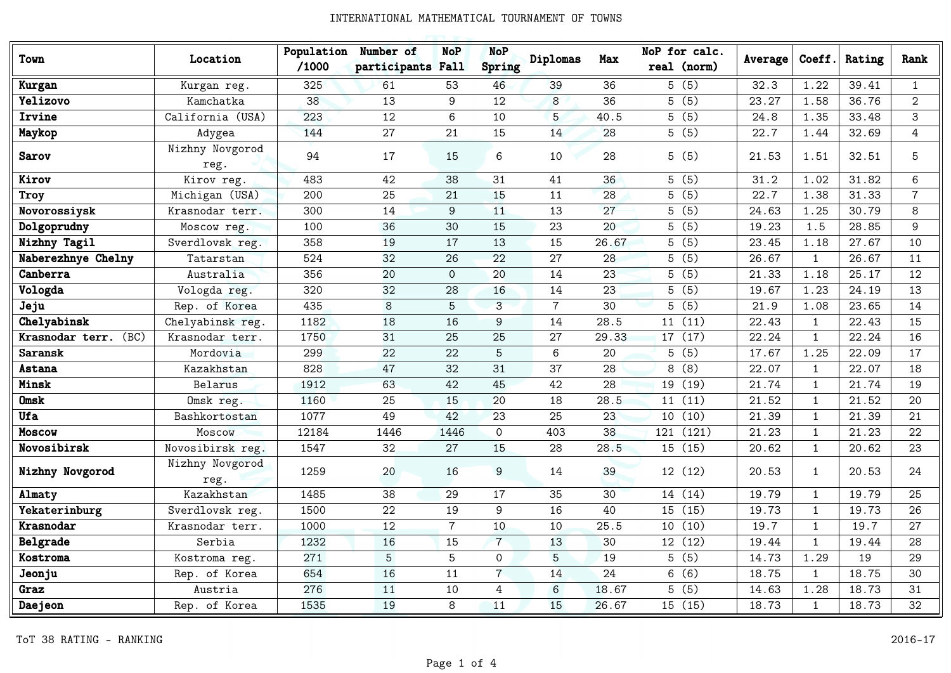| Town                    | Location                | Population<br>/1000 | Number of<br>participants Fall | <b>NoP</b>     | <b>NoP</b><br>Spring | Diplomas       | Max   | NoP for calc.<br>real (norm) | Average | Coeff.       | Rating | Rank           |
|-------------------------|-------------------------|---------------------|--------------------------------|----------------|----------------------|----------------|-------|------------------------------|---------|--------------|--------|----------------|
| Kurgan                  | Kurgan reg.             | 325                 | 61                             | 53             | 46                   | 39             | 36    | 5(5)                         | 32.3    | 1.22         | 39.41  | $\mathbf{1}$   |
| Yelizovo                | Kamchatka               | 38                  | 13                             | 9              | 12                   | $\overline{8}$ | 36    | 5(5)                         | 23.27   | 1.58         | 36.76  | $\mathbf{2}$   |
| Irvine                  | California (USA)        | 223                 | 12                             | 6              | 10                   | 5              | 40.5  | 5(5)                         | 24.8    | 1.35         | 33.48  | 3              |
| Maykop                  | Adygea                  | 144                 | 27                             | 21             | 15                   | 14             | 28    | 5(5)                         | 22.7    | 1.44         | 32.69  | 4              |
| <b>Sarov</b>            | Nizhny Novgorod<br>reg. | 94                  | 17                             | 15             | 6                    | 10             | 28    | 5(5)                         | 21.53   | 1.51         | 32.51  | 5              |
| Kirov                   | Kirov reg.              | 483                 | 42                             | 38             | 31                   | 41             | 36    | 5(5)                         | 31.2    | 1.02         | 31.82  | 6              |
| Troy                    | Michigan (USA)          | 200                 | 25                             | 21             | 15                   | 11             | 28    | 5(5)                         | 22.7    | 1.38         | 31.33  | $\overline{7}$ |
| Novorossiysk            | Krasnodar terr.         | 300                 | 14                             | 9              | 11                   | 13             | 27    | 5(5)                         | 24.63   | 1.25         | 30.79  | 8              |
| Dolgoprudny             | Moscow reg.             | 100                 | 36                             | 30             | 15                   | 23             | 20    | 5(5)                         | 19.23   | 1.5          | 28.85  | 9              |
| Nizhny Tagil            | Sverdlovsk reg.         | 358                 | 19                             | 17             | 13                   | 15             | 26.67 | $\overline{5(5)}$            | 23.45   | 1.18         | 27.67  | 10             |
| Naberezhnye Chelny      | Tatarstan               | 524                 | 32                             | 26             | 22                   | 27             | 28    | 5(5)                         | 26.67   | $\mathbf{1}$ | 26.67  | 11             |
| Canberra                | Australia               | 356                 | 20                             | $\Omega$       | 20                   | 14             | 23    | 5(5)                         | 21.33   | 1.18         | 25.17  | 12             |
| Vologda                 | Vologda reg.            | 320                 | 32                             | 28             | 16                   | 14             | 23    | 5(5)                         | 19.67   | 1.23         | 24.19  | 13             |
| Jeju                    | Rep. of Korea           | 435                 | 8                              | 5              | 3                    | $\overline{7}$ | 30    | 5(5)                         | 21.9    | 1.08         | 23.65  | 14             |
| Chelyabinsk             | Chelyabinsk reg.        | 1182                | 18                             | 16             | 9                    | 14             | 28.5  | 11(11)                       | 22.43   | $\mathbf{1}$ | 22.43  | 15             |
| Krasnodar terr.<br>(BC) | Krasnodar terr.         | 1750                | 31                             | 25             | 25                   | 27             | 29.33 | 17 (17)                      | 22.24   | $\mathbf{1}$ | 22.24  | 16             |
| Saransk                 | Mordovia                | 299                 | 22                             | 22             | 5                    | 6              | 20    | 5(5)                         | 17.67   | 1.25         | 22.09  | 17             |
| Astana                  | Kazakhstan              | 828                 | 47                             | 32             | 31                   | 37             | 28    | 8(8)                         | 22.07   | $\mathbf{1}$ | 22.07  | 18             |
| Minsk                   | Belarus                 | 1912                | 63                             | 42             | 45                   | 42             | 28    | 19 (19)                      | 21.74   | $\mathbf{1}$ | 21.74  | 19             |
| <b>Omsk</b>             | Omsk reg.               | 1160                | 25                             | 15             | 20                   | 18             | 28.5  | 11(11)                       | 21.52   | $\mathbf{1}$ | 21.52  | 20             |
| <b>Ufa</b>              | Bashkortostan           | 1077                | 49                             | 42             | 23                   | 25             | 23    | 10(10)                       | 21.39   | $\mathbf{1}$ | 21.39  | 21             |
| Moscow                  | Moscow                  | 12184               | 1446                           | 1446           | $\mathsf{O}$         | 403            | 38    | 121 (121)                    | 21.23   | $\mathbf{1}$ | 21.23  | 22             |
| Novosibirsk             | Novosibirsk reg.        | 1547                | 32                             | 27             | 15                   | 28             | 28.5  | 15(15)                       | 20.62   | $\mathbf{1}$ | 20.62  | 23             |
| Nizhny Novgorod         | Nizhny Novgorod<br>reg. | 1259                | 20                             | 16             | $\overline{9}$       | 14             | 39    | 12(12)                       | 20.53   | 1            | 20.53  | 24             |
| Almaty                  | Kazakhstan              | 1485                | 38                             | 29             | 17                   | 35             | 30    | 14 (14)                      | 19.79   | $\mathbf{1}$ | 19.79  | 25             |
| Yekaterinburg           | Sverdlovsk reg.         | 1500                | 22                             | 19             | 9                    | 16             | 40    | 15 (15)                      | 19.73   | $\mathbf{1}$ | 19.73  | 26             |
| Krasnodar               | Krasnodar terr.         | 1000                | 12                             | $\overline{7}$ | 10                   | 10             | 25.5  | 10 (10)                      | 19.7    | $\mathbf{1}$ | 19.7   | 27             |
| Belgrade                | Serbia                  | 1232                | 16                             | 15             | $\overline{7}$       | 13             | 30    | 12(12)                       | 19.44   | $\mathbf{1}$ | 19.44  | 28             |
| Kostroma                | Kostroma reg.           | 271                 | 5                              | 5              | $\Omega$             | 5              | 19    | 5(5)                         | 14.73   | 1.29         | 19     | 29             |
| Jeonju                  | Rep. of Korea           | 654                 | 16                             | 11             | $\overline{7}$       | 14             | 24    | 6(6)                         | 18.75   | $\mathbf{1}$ | 18.75  | 30             |
| Graz                    | Austria                 | 276                 | 11                             | 10             | 4                    | 6              | 18.67 | 5(5)                         | 14.63   | 1.28         | 18.73  | 31             |
| Daejeon                 | Rep. of Korea           | 1535                | 19                             | 8              | 11                   | 15             | 26.67 | 15 (15)                      | 18.73   | $\mathbf{1}$ | 18.73  | 32             |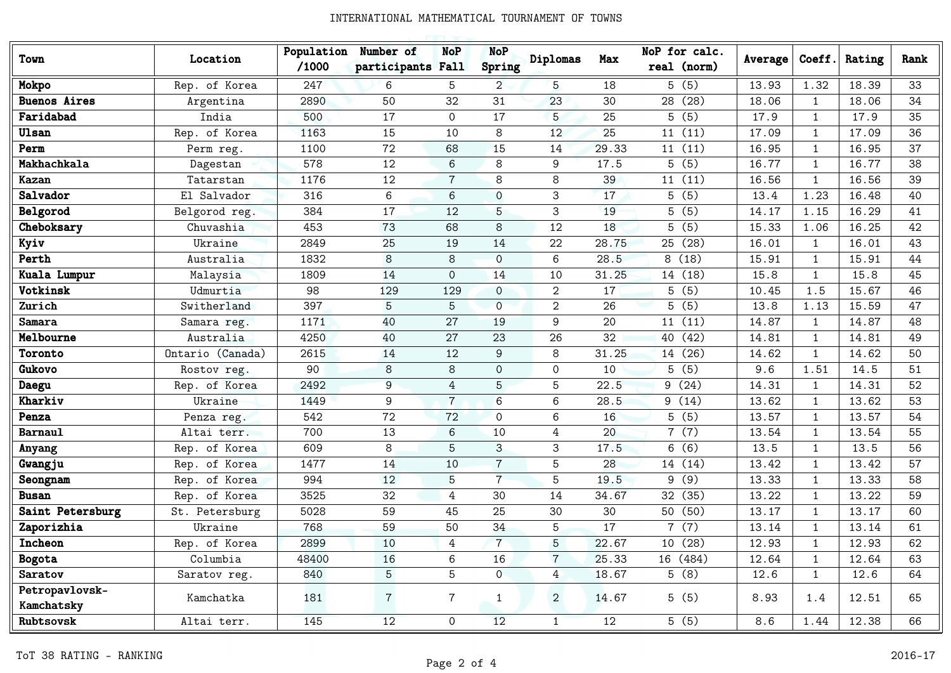| Town                         | Location         | Population<br>/1000 | Number of<br>participants Fall | <b>NoP</b>      | <b>NoP</b><br>Spring | Diplomas       | Max               | NoP for calc.<br>real (norm) | Average | Coeff.       | Rating | Rank |
|------------------------------|------------------|---------------------|--------------------------------|-----------------|----------------------|----------------|-------------------|------------------------------|---------|--------------|--------|------|
| Mokpo                        | Rep. of Korea    | 247                 | 6                              | 5               | $\overline{2}$       | 5              | 18                | 5(5)                         | 13.93   | 1.32         | 18.39  | 33   |
| <b>Buenos Aires</b>          | Argentina        | 2890                | 50                             | 32              | 31                   | 23             | 30                | 28 (28)                      | 18.06   | 1            | 18.06  | 34   |
| Faridabad                    | India            | 500                 | 17                             | $\Omega$        | 17                   | 5              | 25                | 5(5)                         | 17.9    | $\mathbf{1}$ | 17.9   | 35   |
| Ulsan                        | Rep. of Korea    | 1163                | 15                             | 10              | 8                    | 12             | 25                | 11(11)                       | 17.09   | $\mathbf{1}$ | 17.09  | 36   |
| Perm                         | Perm reg.        | 1100                | 72                             | 68              | 15                   | 14             | 29.33             | 11(11)                       | 16.95   | $\mathbf{1}$ | 16.95  | 37   |
| Makhachkala                  | Dagestan         | 578                 | 12                             | 6               | 8                    | 9              | 17.5              | 5(5)                         | 16.77   | $\mathbf{1}$ | 16.77  | 38   |
| Kazan                        | Tatarstan        | 1176                | 12                             | $\overline{7}$  | 8                    | 8              | 39                | 11(11)                       | 16.56   | $\mathbf{1}$ | 16.56  | 39   |
| Salvador                     | El Salvador      | 316                 | 6                              | 6               | $\Omega$             | 3              | 17                | 5(5)                         | 13.4    | 1.23         | 16.48  | 40   |
| Belgorod                     | Belgorod reg.    | 384                 | 17                             | 12              | 5                    | 3              | 19                | 5(5)                         | 14.17   | 1.15         | 16.29  | 41   |
| Cheboksary                   | Chuvashia        | 453                 | 73                             | 68              | 8                    | 12             | 18                | 5(5)                         | 15.33   | 1.06         | 16.25  | 42   |
| Kyiv                         | Ukraine          | 2849                | 25                             | 19              | 14                   | 22             | 28.75             | 25 (28)                      | 16.01   | $\mathbf{1}$ | 16.01  | 43   |
| Perth                        | Australia        | 1832                | 8                              | 8               | $\Omega$             | 6              | 28.5              | 8(18)                        | 15.91   | $\mathbf{1}$ | 15.91  | 44   |
| Kuala Lumpur                 | Malaysia         | 1809                | 14                             | $\Omega$        | 14                   | 10             | 31.25             | 14 (18)                      | 15.8    | $\mathbf{1}$ | 15.8   | 45   |
| Votkinsk                     | Udmurtia         | 98                  | 129                            | 129             | $\Omega$             | 2              | 17                | 5(5)                         | 10.45   | 1.5          | 15.67  | 46   |
| Zurich                       | Switherland      | 397                 | 5                              | 5               | $\Omega$             | $\overline{2}$ | 26                | 5(5)                         | 13.8    | 1.13         | 15.59  | 47   |
| Samara                       | Samara reg.      | 1171                | 40                             | 27              | 19                   | 9              | 20                | 11(11)                       | 14.87   | $\mathbf{1}$ | 14.87  | 48   |
| Melbourne                    | Australia        | 4250                | 40                             | 27              | 23                   | 26             | 32                | 40 (42)                      | 14.81   | $\mathbf{1}$ | 14.81  | 49   |
| Toronto                      | Ontario (Canada) | 2615                | 14                             | 12              | 9                    | 8              | 31.25             | 14 (26)                      | 14.62   | $\mathbf{1}$ | 14.62  | 50   |
| Gukovo                       | Rostov reg.      | 90                  | 8                              | 8               | $\Omega$             | $\mathbf{0}$   | 10                | 5(5)                         | 9.6     | 1.51         | 14.5   | 51   |
| Daegu                        | Rep. of Korea    | 2492                | 9                              | 4               | 5                    | 5              | 22.5              | 9(24)                        | 14.31   | $\mathbf{1}$ | 14.31  | 52   |
| Kharkiv                      | Ukraine          | 1449                | 9                              | $\overline{7}$  | 6                    | 6              | 28.5              | 9(14)                        | 13.62   | $\mathbf{1}$ | 13.62  | 53   |
| Penza                        | Penza reg.       | 542                 | 72                             | 72              | $\Omega$             | 6              | 16                | 5(5)                         | 13.57   | $\mathbf{1}$ | 13.57  | 54   |
| <b>Barnaul</b>               | Altai terr.      | 700                 | 13                             | 6               | 10                   | 4              | 20                | 7(7)                         | 13.54   | $\mathbf{1}$ | 13.54  | 55   |
| Anyang                       | Rep. of Korea    | 609                 | 8                              | 5               | 3                    | 3              | 17.5              | 6(6)                         | 13.5    | $\mathbf{1}$ | 13.5   | 56   |
| Gwangju                      | Rep. of Korea    | 1477                | 14                             | 10              | $\overline{7}$       | 5              | 28                | 14 (14)                      | 13.42   | $\mathbf{1}$ | 13.42  | 57   |
| Seongnam                     | Rep. of Korea    | 994                 | 12                             | 5               | $\overline{7}$       | 5              | 19.5              | 9(9)                         | 13.33   | 1            | 13.33  | 58   |
| <b>Busan</b>                 | Rep. of Korea    | 3525                | 32                             | 4               | 30                   | 14             | 34.67             | 32 (35)                      | 13.22   | $\mathbf{1}$ | 13.22  | 59   |
| Saint Petersburg             | St. Petersburg   | 5028                | 59                             | 45              | 25                   | 30             | 30                | 50 (50)                      | 13.17   | $\mathbf{1}$ | 13.17  | 60   |
| Zaporizhia                   | Ukraine          | 768                 | 59                             | 50              | 34                   | 5              | 17                | 7(7)                         | 13.14   | $\mathbf{1}$ | 13.14  | 61   |
| <b>Incheon</b>               | Rep. of Korea    | 2899                | 10                             | 4               |                      | 5              | 22.67             | 10 (28)                      | 12.93   | 1            | 12.93  | 62   |
| Bogota                       | Columbia         | 48400               | 16                             | 6               | 16                   | $\overline{7}$ | 25.33             | 16 (484)                     | 12.64   | $\mathbf{1}$ | 12.64  | 63   |
| Saratov                      | Saratov reg.     | 840                 | 5 <sub>5</sub>                 | $5\overline{)}$ | $\overline{0}$       | $\overline{4}$ | 18.67             | 5(8)                         | 12.6    | $\mathbf{1}$ | 12.6   | 64   |
| Petropavlovsk-<br>Kamchatsky | Kamchatka        | 181                 | $7\phantom{.}$                 | $7\overline{ }$ | $\mathbf{1}$         | $\overline{2}$ | 14.67             | 5(5)                         | 8.93    | 1.4          | 12.51  | 65   |
| Rubtsovsk                    | Altai terr.      | 145                 | 12                             | $\mathsf{O}$    | 12                   | $\mathbf{1}$   | $12 \overline{ }$ | 5(5)                         | 8.6     | 1.44         | 12.38  | 66   |
|                              |                  |                     |                                |                 |                      |                |                   |                              |         |              |        |      |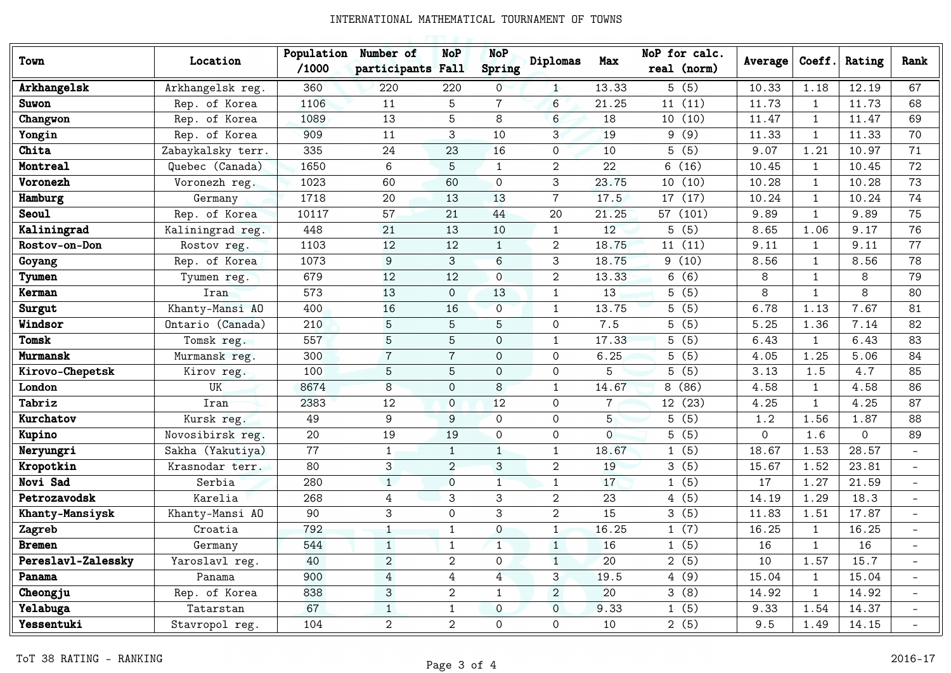| Town               | Location          | Population<br>/1000 | Number of<br>participants Fall | <b>NoP</b>     | <b>NoP</b><br>Spring | Diplomas        | Max            | NoP for calc.<br>real (norm) | Average     | Coeff.       | Rating       | Rank                     |
|--------------------|-------------------|---------------------|--------------------------------|----------------|----------------------|-----------------|----------------|------------------------------|-------------|--------------|--------------|--------------------------|
| Arkhangelsk        | Arkhangelsk reg.  | 360                 | 220                            | 220            | $\overline{0}$       | $\mathbf{1}$    | 13.33          | 5(5)                         | 10.33       | 1.18         | 12.19        | 67                       |
| Suwon              | Rep. of Korea     | 1106                | 11                             | 5              | $\overline{7}$       | $6\overline{6}$ | 21.25          | 11(11)                       | 11.73       | $\mathbf{1}$ | 11.73        | 68                       |
| Changwon           | Rep. of Korea     | 1089                | 13                             | 5              | 8                    | 6               | 18             | 10(10)                       | 11.47       | $\mathbf{1}$ | 11.47        | 69                       |
| Yongin             | Rep. of Korea     | 909                 | 11                             | 3              | 10                   | 3               | 19             | 9(9)                         | 11.33       | $\mathbf{1}$ | 11.33        | 70                       |
| Chita              | Zabaykalsky terr. | 335                 | 24                             | 23             | 16                   | $\Omega$        | 10             | 5(5)                         | 9.07        | 1.21         | 10.97        | 71                       |
| Montreal           | Quebec (Canada)   | 1650                | 6                              | 5              | $\mathbf{1}$         | $\overline{2}$  | 22             | 6(16)                        | 10.45       | $\mathbf{1}$ | 10.45        | 72                       |
| Voronezh           | Voronezh reg.     | 1023                | 60                             | 60             | $\mathbf{O}$         | 3               | 23.75          | 10(10)                       | 10.28       | $\mathbf{1}$ | 10.28        | 73                       |
| Hamburg            | Germany           | 1718                | 20                             | 13             | 13                   | $\overline{7}$  | 17.5           | 17 (17)                      | 10.24       | $\mathbf{1}$ | 10.24        | 74                       |
| <b>Seoul</b>       | Rep. of Korea     | 10117               | 57                             | 21             | 44                   | 20              | 21.25          | 57 (101)                     | 9.89        | $\mathbf{1}$ | 9.89         | 75                       |
| Kaliningrad        | Kaliningrad reg.  | 448                 | 21                             | 13             | 10                   | $\mathbf{1}$    | 12             | 5(5)                         | 8.65        | 1.06         | 9.17         | 76                       |
| Rostov-on-Don      | Rostov reg.       | 1103                | 12                             | 12             | $\mathbf{1}$         | $\overline{2}$  | 18.75          | 11(11)                       | 9.11        | $\mathbf{1}$ | 9.11         | 77                       |
| Goyang             | Rep. of Korea     | 1073                | 9                              | 3              | 6                    | 3               | 18.75          | 9(10)                        | 8.56        | $\mathbf{1}$ | 8.56         | 78                       |
| Tyumen             | Tyumen reg.       | 679                 | 12                             | 12             | $\overline{0}$       | $\overline{2}$  | 13.33          | 6(6)                         | 8           | $\mathbf{1}$ | 8            | 79                       |
| Kerman             | Iran              | 573                 | 13                             | $\overline{O}$ | 13                   | $\mathbf{1}$    | 13             | 5(5)                         | 8           | $\mathbf{1}$ | 8            | 80                       |
| Surgut             | Khanty-Mansi AO   | 400                 | 16                             | 16             | $\overline{0}$       | $\mathbf{1}$    | 13.75          | 5(5)                         | 6.78        | 1.13         | 7.67         | 81                       |
| Windsor            | Ontario (Canada)  | 210                 | 5                              | 5              | 5                    | $\Omega$        | 7.5            | 5(5)                         | 5.25        | 1.36         | 7.14         | 82                       |
| <b>Tomsk</b>       | Tomsk reg.        | 557                 | 5                              | 5              | $\Omega$             | $\mathbf{1}$    | 17.33          | $\overline{5(5)}$            | 6.43        | $\mathbf{1}$ | 6.43         | 83                       |
| Murmansk           | Murmansk reg.     | 300                 | $\overline{7}$                 | $\overline{7}$ | $\mathbf{O}$         | $\mathbf 0$     | 6.25           | 5(5)                         | 4.05        | 1.25         | 5.06         | 84                       |
| Kirovo-Chepetsk    | Kirov reg.        | 100                 | 5                              | 5              | $\mathbf{O}$         | $\mathbf 0$     | 5              | 5(5)                         | 3.13        | 1.5          | 4.7          | 85                       |
| London             | <b>UK</b>         | 8674                | 8                              | $\Omega$       | 8                    | $\mathbf{1}$    | 14.67          | 8(86)                        | 4.58        | $\mathbf{1}$ | 4.58         | 86                       |
| Tabriz             | Iran              | 2383                | 12                             | $\overline{O}$ | 12                   | $\Omega$        | $\overline{7}$ | 12 (23)                      | 4.25        | $\mathbf{1}$ | 4.25         | 87                       |
| Kurchatov          | Kursk reg.        | 49                  | 9                              | 9              | $\mathbf{O}$         | $\mathbf 0$     | 5              | 5(5)                         | 1.2         | 1.56         | 1.87         | 88                       |
| Kupino             | Novosibirsk reg.  | 20                  | 19                             | 19             | $\Omega$             | $\mathbf 0$     | $\Omega$       | 5(5)                         | $\mathbf 0$ | 1.6          | $\mathsf{O}$ | 89                       |
| Neryungri          | Sakha (Yakutiya)  | 77                  | $\mathbf{1}$                   | $\mathbf{1}$   | $\mathbf{1}$         | $\mathbf{1}$    | 18.67          | 1(5)                         | 18.67       | 1.53         | 28.57        |                          |
| Kropotkin          | Krasnodar terr.   | 80                  | 3                              | $\overline{2}$ | 3                    | $\overline{2}$  | 19             | 3(5)                         | 15.67       | 1.52         | 23.81        |                          |
| Novi Sad           | Serbia            | 280                 | $\mathbf{1}$                   | $\Omega$       | $\overline{1}$       | $\mathbf{1}$    | 17             | 1(5)                         | 17          | 1.27         | 21.59        |                          |
| Petrozavodsk       | Karelia           | 268                 | 4                              | 3              | 3                    | $\overline{2}$  | 23             | 4(5)                         | 14.19       | 1.29         | 18.3         |                          |
| Khanty-Mansiysk    | Khanty-Mansi AO   | 90                  | 3                              | $\mathsf{O}$   | 3                    | $\overline{2}$  | 15             | 3(5)                         | 11.83       | 1.51         | 17.87        |                          |
| Zagreb             | Croatia           | 792                 | $\mathbf{1}$                   | $\mathbf{1}$   | $\mathbf 0$          | $\mathbf{1}$    | 16.25          | 1(7)                         | 16.25       | $\mathbf{1}$ | 16.25        |                          |
| <b>Bremen</b>      | Germany           | 544                 | $\mathbf{1}$                   | $\mathbf{1}$   | $\mathbf{1}$         | $\mathbf{1}$    | 16             | 1(5)                         | 16          | $\mathbf{1}$ | 16           | $\overline{\phantom{0}}$ |
| Pereslavl-Zalessky | Yaroslavl reg.    | 40                  | $\overline{2}$                 | 2              | $\Omega$             | $\mathbf{1}$    | 20             | 2(5)                         | 10          | 1.57         | 15.7         |                          |
| Panama             | Panama            | 900                 | 4                              | $\overline{4}$ | $\overline{4}$       | 3               | 19.5           | 4(9)                         | 15.04       | $\mathbf{1}$ | 15.04        | $\equiv$                 |
| Cheongju           | Rep. of Korea     | 838                 | 3                              | $\overline{2}$ | $\mathbf{1}$         | $\overline{2}$  | 20             | 3(8)                         | 14.92       | $\mathbf{1}$ | 14.92        |                          |
| Yelabuga           | Tatarstan         | 67                  | $\mathbf{1}$                   | $\mathbf{1}$   | $\overline{O}$       | $\mathbf{O}$    | 9.33           | 1(5)                         | 9.33        | 1.54         | 14.37        |                          |
| Yessentuki         | Stavropol reg.    | 104                 | $\overline{2}$                 | $\overline{2}$ | $\Omega$             | $\Omega$        | 10             | 2(5)                         | 9.5         | 1.49         | 14.15        |                          |